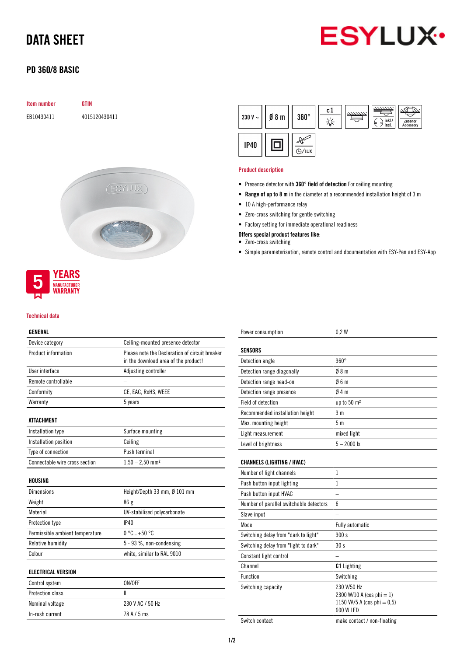# DATA SHEET



## PD 360/8 BASIC

# Item number GTIN EB10430411 4015120430411



#### Technical data

**MANUFACTURER** WARRANTY

#### GENERAL

| ulnlnal                         |                                                                                        |  |
|---------------------------------|----------------------------------------------------------------------------------------|--|
| Device category                 | Ceiling-mounted presence detector                                                      |  |
| Product information             | Please note the Declaration of circuit breaker<br>in the download area of the product! |  |
| User interface                  | Adjusting controller                                                                   |  |
| Remote controllable             |                                                                                        |  |
| Conformity                      | CE, EAC, RoHS, WEEE                                                                    |  |
| Warranty                        | 5 years                                                                                |  |
| ATTACHMENT                      |                                                                                        |  |
| Installation type               | Surface mounting                                                                       |  |
| Installation position           | Ceiling                                                                                |  |
| Type of connection              | Push terminal                                                                          |  |
| Connectable wire cross section  | $1,50 - 2,50$ mm <sup>2</sup>                                                          |  |
| HOUSING                         |                                                                                        |  |
| <b>Dimensions</b>               | Height/Depth 33 mm, Ø 101 mm                                                           |  |
| Weight                          | 86g                                                                                    |  |
| Material                        | UV-stabilised polycarbonate                                                            |  |
| Protection type                 | IP40                                                                                   |  |
| Permissible ambient temperature | $0^{\circ}$ C +50 $^{\circ}$ C                                                         |  |
| <b>Relative humidity</b>        | 5 - 93 %, non-condensing                                                               |  |
| Colour                          | white, similar to RAL 9010                                                             |  |
| <b>ELECTRICAL VERSION</b>       |                                                                                        |  |
| Control system                  | ON/OFF                                                                                 |  |
| Protection class                | Ш                                                                                      |  |
| Nominal voltage                 | 230 V AC / 50 Hz                                                                       |  |

In-rush current 78 A / 5 ms

| 230 V $\sim$ | $\emptyset$ 8 m | $360^\circ$ | c1 | 7777777. | inkl./<br>d<br>b<br>incl. | Zubehör<br>Accessory |
|--------------|-----------------|-------------|----|----------|---------------------------|----------------------|
| <b>IP40</b>  |                 | 'LUX        |    |          |                           |                      |

#### Product description

- Presence detector with 360° field of detection For ceiling mounting
- Range of up to 8 m in the diameter at a recommended installation height of 3 m
- 10 A high-performance relay
- Zero-cross switching for gentle switching
- Factory setting for immediate operational readiness

Offers special product features like:

- Zero-cross switching
- Simple parameterisation, remote control and documentation with ESY-Pen and ESY-App

| Power consumption                       | 0.2W                                                                                 |
|-----------------------------------------|--------------------------------------------------------------------------------------|
| SENSORS                                 |                                                                                      |
| Detection angle                         | $360^\circ$                                                                          |
| Detection range diagonally              | 08 <sub>m</sub>                                                                      |
| Detection range head-on                 | 06m                                                                                  |
| Detection range presence                | 04m                                                                                  |
| <b>Field of detection</b>               | up to $50 \text{ m}^2$                                                               |
| Recommended installation height         | 3 m                                                                                  |
| Max. mounting height                    | 5 m                                                                                  |
| Light measurement                       | mixed light                                                                          |
| Level of brightness                     | $5 - 2000$ lx                                                                        |
| <b>CHANNELS (LIGHTING / HVAC)</b>       |                                                                                      |
| Number of light channels                | $\mathbf{1}$                                                                         |
| Push button input lighting              | 1                                                                                    |
| Push button input HVAC                  |                                                                                      |
| Number of parallel switchable detectors | 6                                                                                    |
| Slave input                             |                                                                                      |
| Mode                                    | Fully automatic                                                                      |
| Switching delay from "dark to light"    | 300 s                                                                                |
| Switching delay from "light to dark"    | 30 <sub>s</sub>                                                                      |
| Constant light control                  |                                                                                      |
| Channel                                 | <b>C1</b> Lighting                                                                   |
| <b>Function</b>                         | Switching                                                                            |
| Switching capacity                      | 230 V/50 Hz<br>2300 W/10 A (cos phi = 1)<br>1150 VA/5 A (cos phi = 0,5)<br>600 W LED |
| Switch contact                          | make contact / non-floating                                                          |
|                                         |                                                                                      |